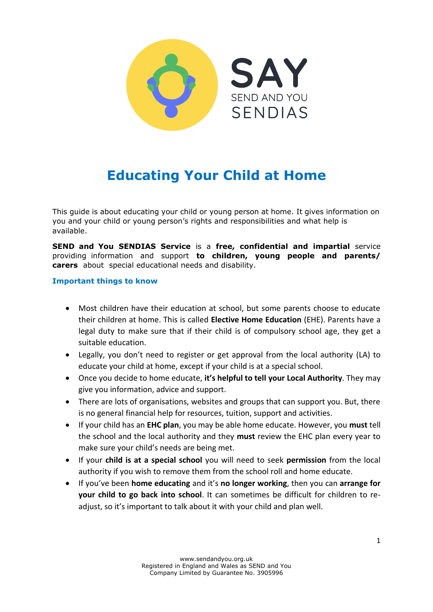

# **Educating Your Child at Home**

This guide is about educating your child or young person at home. It gives information on you and your child or young person's rights and responsibilities and what help is available.

**SEND and You SENDIAS Service** is a **free, confidential and impartial** service providing information and support **to children, young people and parents/ carers** about special educational needs and disability.

#### **Important things to know**

- Most children have their education at school, but some parents choose to educate their children at home. This is called **Elective Home Education** (EHE). Parents have a legal duty to make sure that if their child is of compulsory school age, they get a suitable education.
- Legally, you don't need to register or get approval from the local authority (LA) to educate your child at home, except if your child is at a special school.
- Once you decide to home educate, **it's helpful to tell your Local Authority**. They may give you information, advice and support.
- There are lots of organisations, websites and groups that can support you. But, there is no general financial help for resources, tuition, support and activities.
- If your child has an **EHC plan**, you may be able home educate. However, you **must** tell the school and the local authority and they **must** review the EHC plan every year to make sure your child's needs are being met.
- If your **child is at a special school** you will need to seek **permission** from the local authority if you wish to remove them from the school roll and home educate.
- If you've been **home educating** and it's **no longer working**, then you can **arrange for your child to go back into school**. It can sometimes be difficult for children to readjust, so it's important to talk about it with your child and plan well.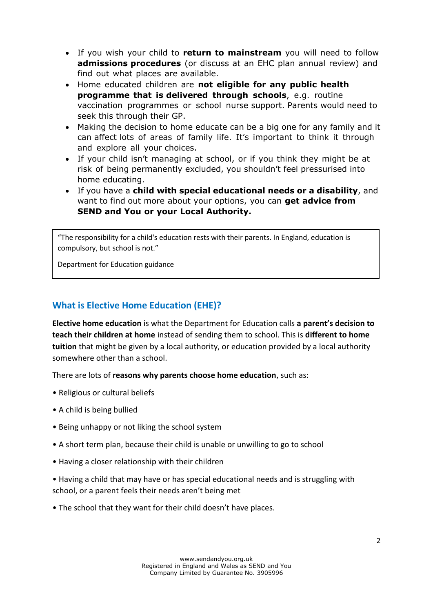- If you wish your child to **return to mainstream** you will need to follow **admissions procedures** (or discuss at an EHC plan annual review) and find out what places are available.
- Home educated children are **not eligible for any public health programme that is delivered through schools**, e.g. routine vaccination programmes or school nurse support. Parents would need to seek this through their GP.
- Making the decision to home educate can be a big one for any family and it can affect lots of areas of family life. It's important to think it through and explore all your choices.
- If your child isn't managing at school, or if you think they might be at risk of being permanently excluded, you shouldn't feel pressurised into home educating.
- If you have a **child with special educational needs or a disability**, and want to find out more about your options, you can **get advice from SEND and You or your Local Authority.**

"The responsibility for a child's education rests with their parents. In England, education is compulsory, but school is not."

Department for Education guidance

#### **What is Elective Home Education (EHE)?**

**Elective home education** is what the Department for Education calls **a parent's decision to teach their children at home** instead of sending them to school. This is **different to home tuition** that might be given by a local authority, or education provided by a local authority somewhere other than a school.

There are lots of **reasons why parents choose home education**, such as:

- Religious or cultural beliefs
- A child is being bullied
- Being unhappy or not liking the school system
- A short term plan, because their child is unable or unwilling to go to school
- Having a closer relationship with their children
- Having a child that may have or has special educational needs and is struggling with school, or a parent feels their needs aren't being met
- The school that they want for their child doesn't have places.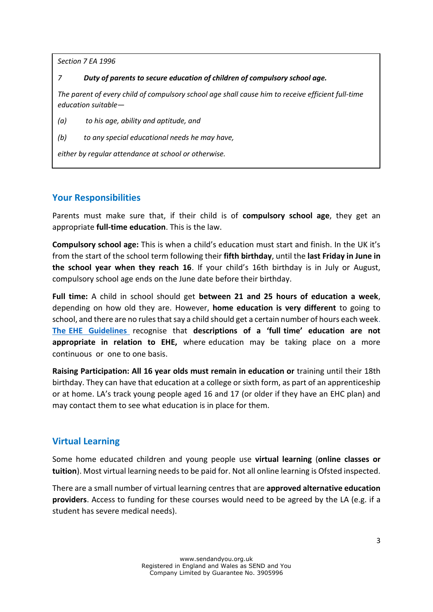*Section 7 EA 1996*

*7 Duty of parents to secure education of children of compulsory school age.*

*The parent of every child of compulsory school age shall cause him to receive efficient full-time education suitable—*

*(a) to his age, ability and aptitude, and*

*(b) to any special educational needs he may have,*

*either by regular attendance at school or otherwise.*

#### **Your Responsibilities**

Parents must make sure that, if their child is of **compulsory school age**, they get an appropriate **full-time education**. This is the law.

**Compulsory school age:** This is when a child's education must start and finish. In the UK it's from the start of the school term following their **fifth birthday**, until the **last Friday in June in the school year when they reach 16**. If your child's 16th birthday is in July or August, compulsory school age ends on the June date before their birthday.

**Full time:** A child in school should get **between 21 and 25 hours of education a week**, depending on how old they are. However, **home education is very different** to going to school, and there are no rules that say a child should get a certain number of hours each wee[k.](https://www.gov.uk/government/publications/elective-home-education)  **[The EHE Guidelines](https://www.gov.uk/government/publications/elective-home-education)** recognise that **descriptions of a 'full time' education are not appropriate in relation to EHE,** where education may be taking place on a more continuous or one to one basis.

**Raising Participation: All 16 year olds must remain in education or** training until their 18th birthday. They can have that education at a college or sixth form, as part of an apprenticeship or at home. LA's track young people aged 16 and 17 (or older if they have an EHC plan) and may contact them to see what education is in place for them.

#### **Virtual Learning**

Some home educated children and young people use **virtual learning** (**online classes or tuition**). Most virtual learning needs to be paid for. Not all online learning is Ofsted inspected.

There are a small number of virtual learning centres that are **approved alternative education providers**. Access to funding for these courses would need to be agreed by the LA (e.g. if a student has severe medical needs).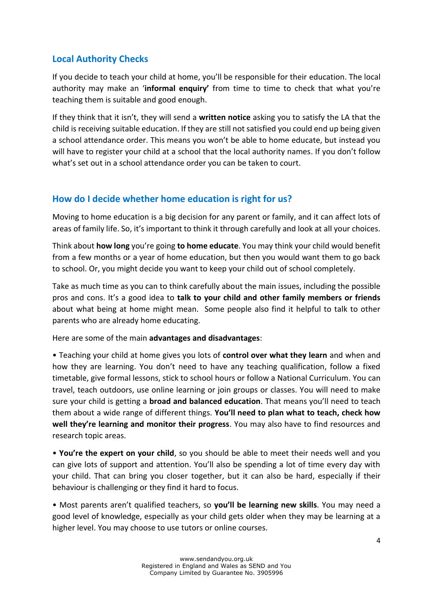#### **Local Authority Checks**

If you decide to teach your child at home, you'll be responsible for their education. The local authority may make an '**informal enquiry'** from time to time to check that what you're teaching them is suitable and good enough.

If they think that it isn't, they will send a **written notice** asking you to satisfy the LA that the child is receiving suitable education. If they are still not satisfied you could end up being given a school attendance order. This means you won't be able to home educate, but instead you will have to register your child at a school that the local authority names. If you don't follow what's set out in a school attendance order you can be taken to court.

#### **How do I decide whether home education is right for us?**

Moving to home education is a big decision for any parent or family, and it can affect lots of areas of family life. So, it's important to think it through carefully and look at all your choices.

Think about **how long** you're going **to home educate**. You may think your child would benefit from a few months or a year of home education, but then you would want them to go back to school. Or, you might decide you want to keep your child out of school completely.

Take as much time as you can to think carefully about the main issues, including the possible pros and cons. It's a good idea to **talk to your child and other family members or friends** about what being at home might mean. Some people also find it helpful to talk to other parents who are already home educating.

Here are some of the main **advantages and disadvantages**:

• Teaching your child at home gives you lots of **control over what they learn** and when and how they are learning. You don't need to have any teaching qualification, follow a fixed timetable, give formal lessons, stick to school hours or follow a National Curriculum. You can travel, teach outdoors, use online learning or join groups or classes. You will need to make sure your child is getting a **broad and balanced education**. That means you'll need to teach them about a wide range of different things. **You'll need to plan what to teach, check how well they're learning and monitor their progress**. You may also have to find resources and research topic areas.

• **You're the expert on your child**, so you should be able to meet their needs well and you can give lots of support and attention. You'll also be spending a lot of time every day with your child. That can bring you closer together, but it can also be hard, especially if their behaviour is challenging or they find it hard to focus.

• Most parents aren't qualified teachers, so **you'll be learning new skills**. You may need a good level of knowledge, especially as your child gets older when they may be learning at a higher level. You may choose to use tutors or online courses.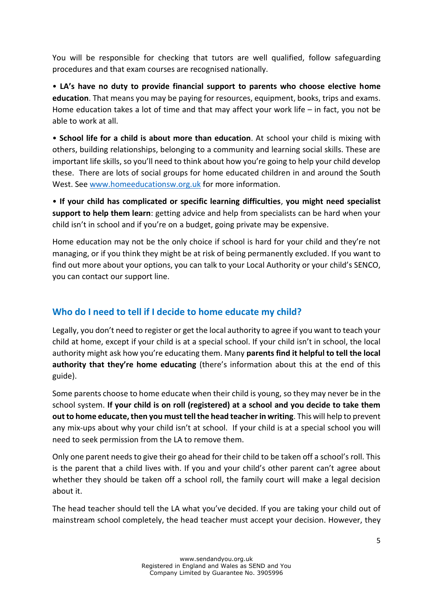You will be responsible for checking that tutors are well qualified, follow safeguarding procedures and that exam courses are recognised nationally.

• **LA's have no duty to provide financial support to parents who choose elective home education**. That means you may be paying for resources, equipment, books, trips and exams. Home education takes a lot of time and that may affect your work life – in fact, you not be able to work at all.

• **School life for a child is about more than education**. At school your child is mixing with others, building relationships, belonging to a community and learning social skills. These are important life skills, so you'll need to think about how you're going to help your child develop these. There are lots of social groups for home educated children in and around the South West. See [www.homeeducationsw.org.uk](http://www.homeeducationsw.org.uk/) for more information.

• **If your child has complicated or specific learning difficulties**, **you might need specialist support to help them learn**: getting advice and help from specialists can be hard when your child isn't in school and if you're on a budget, going private may be expensive.

Home education may not be the only choice if school is hard for your child and they're not managing, or if you think they might be at risk of being permanently excluded. If you want to find out more about your options, you can talk to your Local Authority or your child's SENCO, you can contact our support line.

## **Who do I need to tell if I decide to home educate my child?**

Legally, you don't need to register or get the local authority to agree if you want to teach your child at home, except if your child is at a special school. If your child isn't in school, the local authority might ask how you're educating them. Many **parents find it helpful to tell the local authority that they're home educating** (there's information about this at the end of this guide).

Some parents choose to home educate when their child is young, so they may never be in the school system. **If your child is on roll (registered) at a school and you decide to take them out to home educate, then you must tell the head teacher in writing**. This will help to prevent any mix-ups about why your child isn't at school. If your child is at a special school you will need to seek permission from the LA to remove them.

Only one parent needs to give their go ahead for their child to be taken off a school's roll. This is the parent that a child lives with. If you and your child's other parent can't agree about whether they should be taken off a school roll, the family court will make a legal decision about it.

The head teacher should tell the LA what you've decided. If you are taking your child out of mainstream school completely, the head teacher must accept your decision. However, they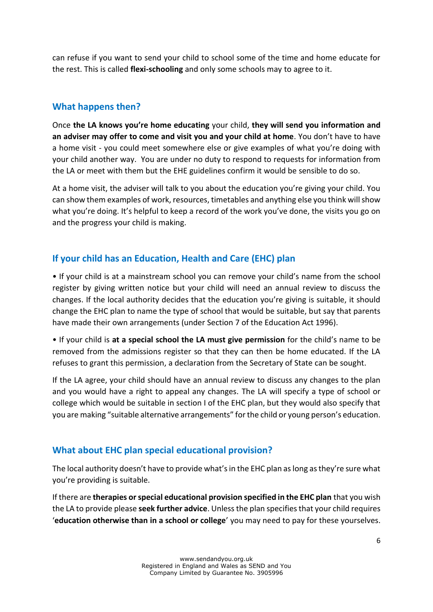can refuse if you want to send your child to school some of the time and home educate for the rest. This is called **flexi-schooling** and only some schools may to agree to it.

#### **What happens then?**

Once **the LA knows you're home educating** your child, **they will send you information and an adviser may offer to come and visit you and your child at home**. You don't have to have a home visit - you could meet somewhere else or give examples of what you're doing with your child another way. You are under no duty to respond to requests for information from the LA or meet with them but the EHE guidelines confirm it would be sensible to do so.

At a home visit, the adviser will talk to you about the education you're giving your child. You can show them examples of work, resources, timetables and anything else you think will show what you're doing. It's helpful to keep a record of the work you've done, the visits you go on and the progress your child is making.

#### **If your child has an Education, Health and Care (EHC) plan**

• If your child is at a mainstream school you can remove your child's name from the school register by giving written notice but your child will need an annual review to discuss the changes. If the local authority decides that the education you're giving is suitable, it should change the EHC plan to name the type of school that would be suitable, but say that parents have made their own arrangements (under Section 7 of the Education Act 1996).

• If your child is **at a special school the LA must give permission** for the child's name to be removed from the admissions register so that they can then be home educated. If the LA refuses to grant this permission, a declaration from the Secretary of State can be sought.

If the LA agree, your child should have an annual review to discuss any changes to the plan and you would have a right to appeal any changes. The LA will specify a type of school or college which would be suitable in section I of the EHC plan, but they would also specify that you are making "suitable alternative arrangements" for the child or young person's education.

#### **What about EHC plan special educational provision?**

The local authority doesn't have to provide what's in the EHC plan as long as they're sure what you're providing is suitable.

If there are **therapies or special educational provision specified in the EHC plan** that you wish the LA to provide please **seek further advice**. Unless the plan specifies that your child requires '**education otherwise than in a school or college**' you may need to pay for these yourselves.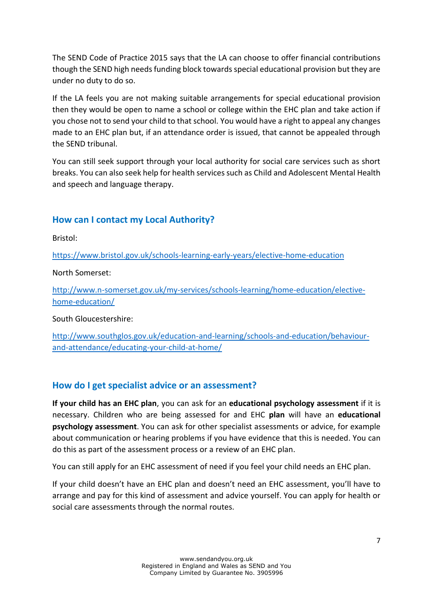The SEND Code of Practice 2015 says that the LA can choose to offer financial contributions though the SEND high needs funding block towards special educational provision but they are under no duty to do so.

If the LA feels you are not making suitable arrangements for special educational provision then they would be open to name a school or college within the EHC plan and take action if you chose not to send your child to that school. You would have a right to appeal any changes made to an EHC plan but, if an attendance order is issued, that cannot be appealed through the SEND tribunal.

You can still seek support through your local authority for social care services such as short breaks. You can also seek help for health services such as Child and Adolescent Mental Health and speech and language therapy.

#### **How can I contact my Local Authority?**

Bristol:

<https://www.bristol.gov.uk/schools-learning-early-years/elective-home-education>

North Somerset:

[http://www.n-somerset.gov.uk/my-services/schools-learning/home-education/elective](http://www.n-somerset.gov.uk/my-services/schools-learning/home-education/elective-home-education/)[home-education/](http://www.n-somerset.gov.uk/my-services/schools-learning/home-education/elective-home-education/) 

South Gloucestershire:

[http://www.southglos.gov.uk/education-and-learning/schools-and-education/behaviour](http://www.southglos.gov.uk/education-and-learning/schools-and-education/behaviour-and-attendance/educating-your-child-at-home/)[and-attendance/educating-your-child-at-home/](http://www.southglos.gov.uk/education-and-learning/schools-and-education/behaviour-and-attendance/educating-your-child-at-home/)

#### **How do I get specialist advice or an assessment?**

**If your child has an EHC plan**, you can ask for an **educational psychology assessment** if it is necessary. Children who are being assessed for and EHC **plan** will have an **educational psychology assessment**. You can ask for other specialist assessments or advice, for example about communication or hearing problems if you have evidence that this is needed. You can do this as part of the assessment process or a review of an EHC plan.

You can still apply for an EHC assessment of need if you feel your child needs an EHC plan.

If your child doesn't have an EHC plan and doesn't need an EHC assessment, you'll have to arrange and pay for this kind of assessment and advice yourself. You can apply for health or social care assessments through the normal routes.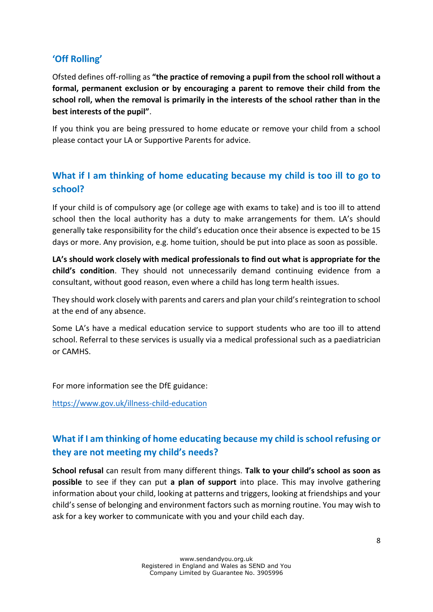## **'Off Rolling'**

Ofsted defines off-rolling as **"the practice of removing a pupil from the school roll without a formal, permanent exclusion or by encouraging a parent to remove their child from the school roll, when the removal is primarily in the interests of the school rather than in the best interests of the pupil"**.

If you think you are being pressured to home educate or remove your child from a school please contact your LA or Supportive Parents for advice.

## **What if I am thinking of home educating because my child is too ill to go to school?**

If your child is of compulsory age (or college age with exams to take) and is too ill to attend school then the local authority has a duty to make arrangements for them. LA's should generally take responsibility for the child's education once their absence is expected to be 15 days or more. Any provision, e.g. home tuition, should be put into place as soon as possible.

**LA's should work closely with medical professionals to find out what is appropriate for the child's condition**. They should not unnecessarily demand continuing evidence from a consultant, without good reason, even where a child has long term health issues.

They should work closely with parents and carers and plan your child's reintegration to school at the end of any absence.

Some LA's have a medical education service to support students who are too ill to attend school. Referral to these services is usually via a medical professional such as a paediatrician or CAMHS.

For more information see the DfE guidance:

<https://www.gov.uk/illness-child-education>

# **What if I am thinking of home educating because my child is school refusing or they are not meeting my child's needs?**

**School refusal** can result from many different things. **Talk to your child's school as soon as possible** to see if they can put **a plan of support** into place. This may involve gathering information about your child, looking at patterns and triggers, looking at friendships and your child's sense of belonging and environment factors such as morning routine. You may wish to ask for a key worker to communicate with you and your child each day.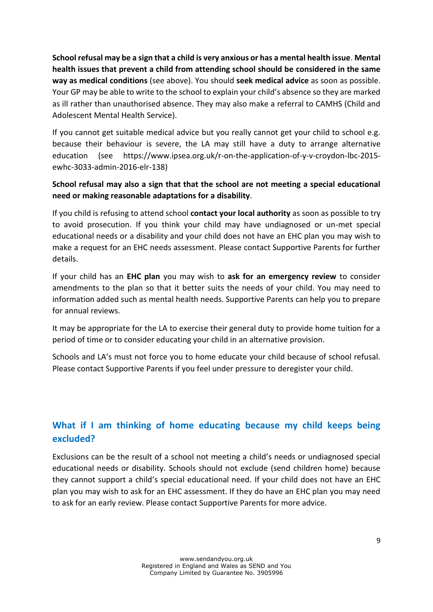**School refusal may be a sign that a child is very anxious or has a mental health issue**. **Mental health issues that prevent a child from attending school should be considered in the same way as medical conditions** (see above). You should **seek medical advice** as soon as possible. Your GP may be able to write to the school to explain your child's absence so they are marked as ill rather than unauthorised absence. They may also make a referral to CAMHS (Child and Adolescent Mental Health Service).

If you cannot get suitable medical advice but you really cannot get your child to school e.g. because their behaviour is severe, the LA may still have a duty to arrange alternative education (see [https://www.ipsea.org.uk/r-on-the-application-of-y-v-croydon-lbc-2015](https://www.ipsea.org.uk/r-on-the-application-of-y-v-croydon-lbc-2015-ewhc-3033-admin-2016-elr-138) [ewhc-3033-admin-2016-elr-138\)](https://www.ipsea.org.uk/r-on-the-application-of-y-v-croydon-lbc-2015-ewhc-3033-admin-2016-elr-138)

#### **School refusal may also a sign that that the school are not meeting a special educational need or making reasonable adaptations for a disability**.

If you child is refusing to attend school **contact your local authority** as soon as possible to try to avoid prosecution. If you think your child may have undiagnosed or un-met special educational needs or a disability and your child does not have an EHC plan you may wish to make a request for an EHC needs assessment. Please contact Supportive Parents for further details.

If your child has an **EHC plan** you may wish to **ask for an emergency review** to consider amendments to the plan so that it better suits the needs of your child. You may need to information added such as mental health needs. Supportive Parents can help you to prepare for annual reviews.

It may be appropriate for the LA to exercise their general duty to provide home tuition for a period of time or to consider educating your child in an alternative provision.

Schools and LA's must not force you to home educate your child because of school refusal. Please contact Supportive Parents if you feel under pressure to deregister your child.

# **What if I am thinking of home educating because my child keeps being excluded?**

Exclusions can be the result of a school not meeting a child's needs or undiagnosed special educational needs or disability. Schools should not exclude (send children home) because they cannot support a child's special educational need. If your child does not have an EHC plan you may wish to ask for an EHC assessment. If they do have an EHC plan you may need to ask for an early review. Please contact Supportive Parents for more advice.